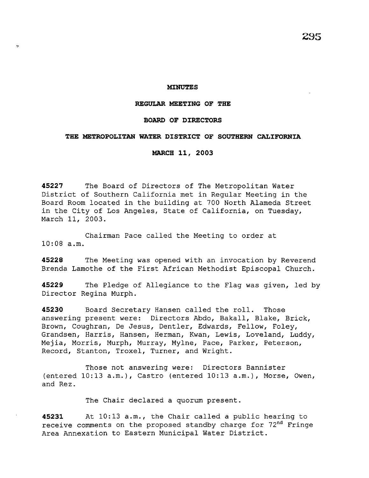$\overline{a}$ 

#### **REGULAR MEETING OF THE**

#### **BOARD OF DIRECTORS**

# **THE METROPOLITAN WATER DISTRICT OF SOUTHERN CALIFORNIA**

**MARCH 11, 2003** 

**45227** The Board of Directors of The Metropolitan Water District of Southern California met in Regular Meeting in the Board Room located in the building at 700 North Alameda Street in the City of Los Angeles, State of California, on Tuesday, March 11, 2003.

Chairman Pace called the Meeting to order at 10:08 a.m.

**45228** The Meeting was opened with an invocation by Reverend Brenda Lamothe of the First African Methodist Episcopal Church.

**45229** The Pledge of Allegiance to the Flag was given, led by Director Regina Murph.

**45230** Board Secretary Hansen called the roll. Those answering present were: Directors Abdo, Bakall, Blake, Brick, Brown, Coughran, De Jesus, Dentler, Edwards, Fellow, Foley, Grandsen, Harris, Hansen, Herman, Kwan, Lewis, Loveland, Luddy, Mejia, Morris, Murph, Murray, Mylne, Pace, Parker, Peterson, Record, Stanton, Troxel, Turner, and Wright.

Those not answering were: Directors Bannister (entered 10:13 a.m.), Castro (entered 10:13 a.m.), Morse, Owen, and Rez.

The Chair declared a quorum present.

**45231** At 10:13 a.m., the Chair called a public hearing to receive comments on the proposed standby charge for  $72<sup>nd</sup>$  Fringe Area Annexation to Eastern Municipal Water District.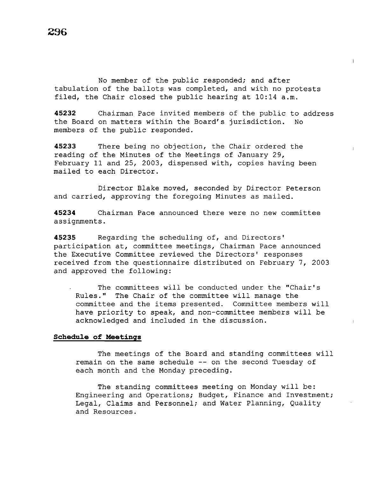No member of the public responded; and after tabulation of the ballots was completed, and with no protests filed, the Chair closed the public hearing at 10:14 a.m.

**45232** Chairman Pace invited members of the public to address the Board on matters within the Board's jurisdiction. No members of the public responded.

**45233** There being no objection, the Chair ordered the reading of the Minutes of the Meetings of January 29, February 11 and 25, 2003, dispensed with, copies having been mailed to each Director.

Director Blake moved, seconded by Director Peterson and carried, approving the foregoing Minutes as mailed.

**45234** Chairman Pace announced there were no new committee assignments.

**45235** Regarding the scheduling of, and Directors' participation at, committee meetings, Chairman Pace announced the Executive Committee reviewed the Directors' responses received from the questionnaire distributed on February 7, 2003 and approved the following:

The committees will be conducted under the "Chair's Rules." The Chair of the committee will manage the committee and the items presented. Committee members will have priority to speak, and non-committee members will be acknowledged and included in the discussion.

# **Schedule of Meetings**

The meetings of the Board and standing committees will remain on the same schedule -- on the second Tuesday of each month and the Monday preceding.

The standing committees meeting on Monday will be: Engineering and Operations; Budget, Finance and Investment; Legal, Claims and Personnel; and Water Planning, Quality and Resources.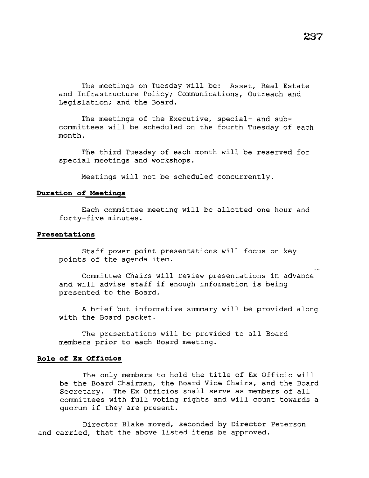The meetings on Tuesday will be: Asset, Real Estate and Infrastructure Policy; Communications, Outreach and Legislation; and the Board.

The meetings of the Executive, special- and subcommittees will be scheduled on the fourth Tuesday of each month.

The third Tuesday of each month will be reserved for special meetings and workshops.

Meetings will not be scheduled concurrently.

## **Duration of Meetings**

Each committee meeting will be allotted one hour and forty-five minutes.

#### **Presentations**

Staff power point presentations will focus on key points of the agenda item.

Committee Chairs will review presentations in advance and will advise staff if enough information is being presented to the Board.

A brief but informative summary will be provided along with the Board packet.

The presentations will be provided to all Board members prior to each Board meeting.

## **Ro1e of Ex Officios**

The only members to hold the title of Ex Officio will be the Board Chairman, the Board Vice Chairs, and the Board Secretary. The Ex Officios shall serve as members of all committees with full voting rights and will count towards a quorum if they are present.

Director Blake moved, seconded by Director Peterson and carried, that the above listed items be approved.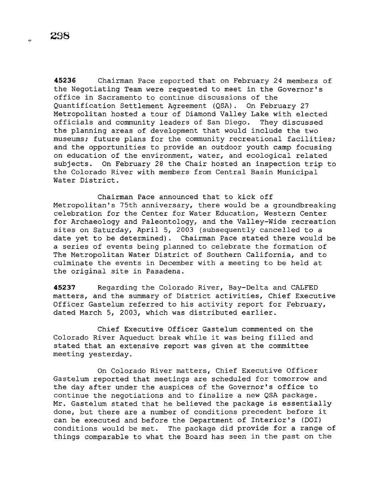**45236** Chairman Pace reported that on February 24 members of the Negotiating Team were requested to meet in the Governor's office in Sacramento to continue discussions of the Quantification Settlement Agreement (QSA). On February 27 Metropolitan hosted a tour of Diamond Valley Lake with elected officials and community leaders of San Diego. They discussed the planning areas of development that would include the two museums; future plans for the community recreational facilities; and the opportunities to provide an outdoor youth camp focusing on education of the environment, water, and ecological related subjects. On February 28 the Chair hosted an inspection trip to the Colorado River with members from Central Basin Municipal Water District.

Chairman Pace announced that to kick off Metropolitan's 75th anniversary, there would be a groundbreaking celebration for the Center for Water Education, Western Center for Archaeology and Paleontology, and the Valley-Wide recreation sites on Saturday, April 5, 2003 (subsequently cancelled to a date yet to be determined). Chairman Pace stated there would be a series of events being planned to celebrate the formation of The Metropolitan Water District of Southern California, and to culminate the events in December with a meeting to be held at the original site in Pasadena.

**45237** Regarding the Colorado River, Bay-Delta and CALFED matters, and the summary of District activities, Chief Executive Officer Gastelum referred to his activity report for February, dated March 5, 2003, which was distributed earlier.

Chief Executive Officer Gastelum commented on the Colorado River Aqueduct break while it was being filled and stated that an extensive report was given at the committee meeting yesterday.

On Colorado River matters, Chief Executive Officer Gastelum reported that meetings are scheduled for tomorrow and the day after under the auspices of the Governor's office to continue the negotiations and to finalize a new QSA package. Mr. Gastelum stated that he believed the package is essentially done, but there are a number of conditions precedent before it can be executed and before the Department of Interior's (DOI) conditions would be met. The package did provide for a range of things comparable to what the Board has seen in the past on the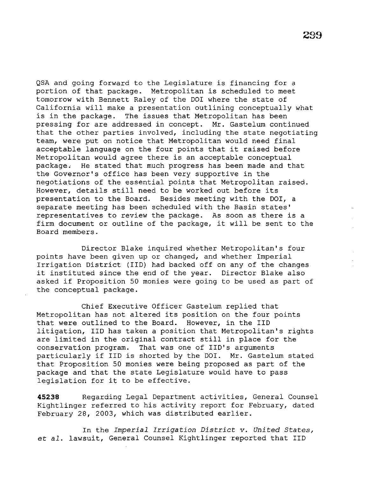QSA and going forward to the Legislature is financing for a portion of that package. Metropolitan is scheduled to meet tomorrow with Bennett Raley of the DOI where the state of California will make a presentation outlining conceptually what is in the package. The issues that Metropolitan has been pressing for are addressed in concept. Mr. Gastelum continued that the other parties involved, including the state negotiating team, were put on notice that Metropolitan would need final acceptable language on the four points that it raised before Metropolitan would agree there is an acceptable conceptual package. He stated that much progress has been made and that the Governor's office has been very supportive in the negotiations of the essential points that Metropolitan raised. However, details still need to be worked out before its presentation to the Board. Besides meeting with the DOI, a separate meeting has been scheduled with the Basin states' representatives to review the package. As soon as there is a firm document or outline of the package, it will be sent to the Board members.

Director Blake inquired whether Metropolitan's four points have been given up or changed, and whether Imperial Irrigation District (IID) had backed off on any of the changes it instituted since the end of the year. Director Blake also asked if Proposition 50 monies were going to be used as part of the conceptual package.

Chief Executive Officer Gastelum replied that Metropolitan has not altered its position on the four points that were outlined to the Board. However, in the IID litigation, IID has taken a position that Metropolitan's rights are limited in the original contract still in place for the conservation program. That was one of IID's arguments particularly if IID is shorted by the DOI. Mr. Gastelum stated that Proposition 50 monies were being proposed as part of the package and that the state Legislature would have to pass legislation for it to be effective.

**45238** Regarding Legal Department activities, General Counsel Kightlinger referred to his activity report for February, dated February 28, 2003, which was distributed earlier.

In the *Imperial Irrigation District v. United States,*  et *al.* lawsuit, General Counsel Kightlinger reported that IID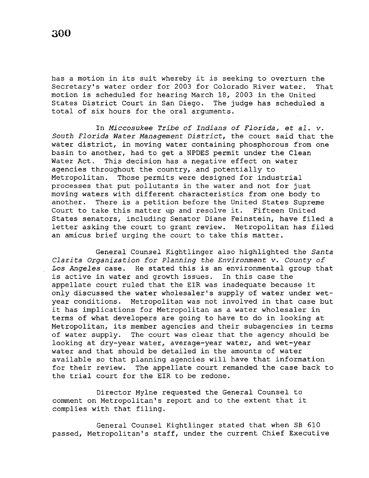has a motion in its suit whereby it is seeking to overturn the<br>Secretary's water order for 2003 for Colorado River water. That Secretary's water order for 2003 for Colorado River water. motion is scheduled for hearing March 18, 2003 in the United States District Court in San Diego. The judge has scheduled a total of six hours for the oral arguments.

In *Miccosukee Tribe of Indians of Florida,* et *al. v. South Florida Water Management District,* the court said that the water district, in moving water containing phosphorous from one basin to another, had to get a NPDES permit under the Clean Water Act. This decision has a negative effect on water agencies throughout the country, and potentially to Metropolitan. Those permits were designed for industrial processes that put pollutants in the water and not for just moving waters with different characteristics from one body to another. There is a petition before the United States Supreme Court to take this matter up and resolve it. Fifteen United States senators, including Senator Diane Feinstein, have filed a letter asking the court to grant review. Metropolitan has filed an amicus brief urging the court to take this matter.

General Counsel Kightlinger also highlighted the *Santa Clarita Organization* for *Planning the Environment v. County of Los Angeles* case. He stated this is an environmental group that is active in water and growth issues. In this case the appellate court ruled that the EIR was inadequate because it only discussed the water wholesaler's supply of water under wetyear conditions. Metropolitan was not involved in that case but it has implications for Metropolitan as a water wholesaler in terms of what developers are going to have to do in looking at Metropolitan, its member agencies and their subagencies in terms of water supply. The court was clear that the agency should be looking at dry-year water, average-year water, and wet-year water and that should be detailed in the amounts of water available so that planning agencies will have that information for their review. The appellate court remanded the case back to the trial court for the EIR to be redone.

Director Mylne requested the General Counsel to comment on Metropolitan's report and to the extent that it complies with that filing.

General Counsel Kightlinger stated that when SB 610 passed, Metropolitan's staff, under the current Chief Executive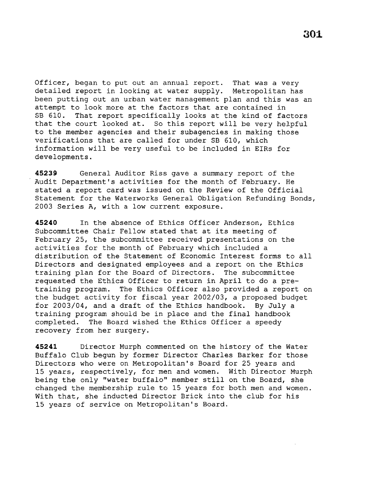Officer, began to put out an annual report. That was a very detailed report in looking at water supply. Metropolitan has been putting out an urban water management plan and this was an attempt to look more at the factors that are contained in SB 610. That report specifically looks at the kind of factors that the court looked at. So this report will be very helpful to the member agencies and their subagencies in making those verifications that are called for under SB 610, which information will be very useful to be included in EIRs for developments.

**45239** General Auditor Riss gave a summary report of the Audit Department's activities for the month of February. He stated a report card was issued on the Review of the Official Statement for the Waterworks General Obligation Refunding Bonds, 2003 Series A, with a low current exposure.

**45240** In the absence of Ethics Officer Anderson, Ethics Subcommittee Chair Fellow stated that at its meeting of February 25, the subcommittee received presentations on the activities for the month of February which included a distribution of the Statement of Economic Interest forms to all Directors and designated employees and a report on the Ethics training plan for the Board of Directors. The subcommittee requested the Ethics Officer to return in April to do a pretraining program. The Ethics Officer also provided a report on the budget activity for fiscal year 2002/03, a proposed budget for 2003/04, and a draft of the Ethics handbook. By July a training program should be in place and the final handbook completed. The Board wished the Ethics Officer a speedy recovery from her surgery.

**45241** Director Murph commented on the history of the Water Buffalo Club begun by former Director Charles Barker for those Directors who were on Metropolitan's Board for 25 years and 15 years, respectively, for men and women. With Director Murph being the only "water buffalo" member still on the Board, she changed the membership rule to 15 years for both men and women. With that, she inducted Director Brick into the club for his 15 years of service on Metropolitan's Board.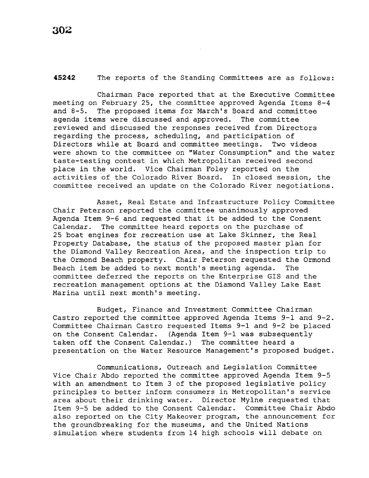## **45242** The reports of the Standing Committees are as follows:

Chairman Pace reported that at the Executive Committee meeting on February 25, the committee approved Agenda Items 8-4 and 8-5. The proposed items for March's Board and committee agenda items were discussed and approved. The committee reviewed and discussed the responses received from Directors regarding the process, scheduling, and participation of Directors while at Board and committee meetings. Two *videos*  were shown to the committee on "Water Consumption" and the water taste-testing contest *in* which Metropolitan received second place in the world. Vice Chairman Foley reported on the activities of the Colorado River Board. In closed session, the committee received an update on the Colorado River negotiations.

Asset, Real Estate and Infrastructure Policy Committee Chair Peterson reported the committee unanimously approved Agenda Item 9-6 and requested that it be added to the Consent Calendar. The committee heard reports on the purchase of 25 boat engines for recreation use at Lake Skinner, the Real Property Database, the status of the proposed master plan for the Diamond Valley Recreation Area, and the inspection trip to the Ormond Beach property. Chair Peterson requested the Ormond Beach item be added to next month's meeting agenda. The committee deferred the reports on the Enterprise GIS and the recreation management options at the Diamond Valley Lake East Marina until next month's meeting.

Budget, Finance and Investment Committee Chairman Castro reported the committee approved Agenda Items 9-1 and 9-2. Committee Chairman Castro requested Items 9-1 and 9-2 be placed on the Consent Calendar. (Agenda Item 9-1 was subsequently taken off the Consent Calendar.) The committee heard a presentation on the Water Resource Management's proposed budget.

Communications, Outreach and Legislation Committee Vice Chair Abdo reported the committee approved Agenda Item 9-5 with an amendment to Item 3 of the proposed legislative policy principles to better inform consumers in Metropolitan's service area about their drinking water. Director Mylne requested that Item 9-5 be added to the Consent Calendar. Committee Chair Abdo also reported on the City Makeover program, the announcement for the groundbreaking for the museums, and the United Nations simulation where students from 14 high schools will debate on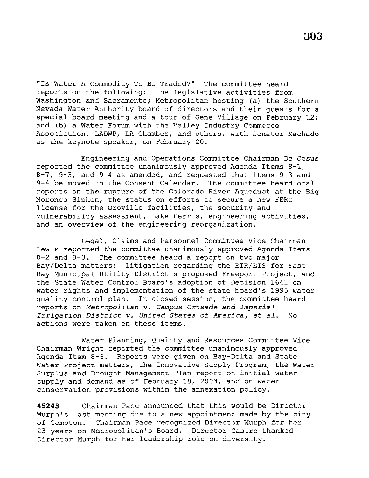"Is Water A Commodity To Be Traded?" The committee heard reports on the following: the legislative activities from Washington and Sacramento; Metropolitan hosting (a) the Southern Nevada Water Authority board of directors and their guests for a special board meeting and a tour of Gene Village on February 12; and (b) a Water Forum with the Valley Industry Commerce Association, LADWP, LA Chamber, and others, with Senator Machado as the keynote speaker, on February 20.

Engineering and Operations Committee Chairman De Jesus reported the committee unanimously approved Agenda Items 8-1, 8-7, 9-3, and 9-4 as amended, and requested that Items 9-3 and 9-4 be moved to the Consent Calendar. The committee heard oral reports on the rupture of the Colorado River Aqueduct at the Big Morongo Siphon, the status on efforts to secure a new FERC license for the Oroville facilities, the security and vulnerability assessment, Lake Perris, engineering activities, and an overview of the engineering reorganization.

Legal, Claims and Personnel Committee Vice Chairman Lewis reported the committee unanimously approved Agenda Items  $8-2$  and  $8-3$ . The committee heard a report on two major Bay/Delta matters: litigation regarding the EIR/EIS for East Bay Municipal Utility District's proposed Freeport Project, and the State Water Control Board's adoption of Decision 1641 on water rights and implementation of the state board's 1995 water quality control plan. In closed session, the committee heard reports on *Metropolitan* v. *Campus Crusade and Imperial Irrigation District* v. *United States of America,* et *al.* No actions were taken on these items.

Water Planning, Quality and Resources Committee Vice Chairman Wright reported the committee unanimously approved Agenda Item 8-6. Reports were given on Bay-Delta and State Water Project matters, the Innovative Supply Program, the Water Surplus and Drought Management Plan report on initial water supply and demand as of February 18, 2003, and on water conservation provisions within the annexation policy.

**45243** Chairman Pace announced that this would be Director Murph's last meeting due to a new appointment made by the city of Compton. Chairman Pace recognized Director Murph for her 23 years on Metropolitan's Board. Director Castro thanked Director Murph for her leadership role on diversity.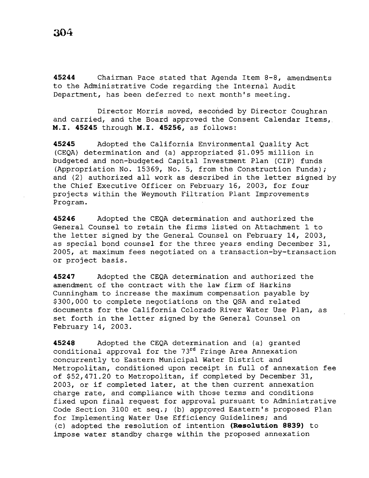**45244** Chairman Pace stated that Agenda Item 8-8, amendments to the Administrative Code regarding the Internal Audit Department, has been deferred to next month's meeting.

Director Morris moved, seconded by Director Coughran and carried, and the Board approved the Consent Calendar Items, **M.I. 45245** through M.I. **45256,** as follows:

**45245** Adopted the California Environmental Quality Act (CEQA) determination and (a) appropriated \$1.095 million in budgeted and non-budgeted Capital Investment Plan (CIP) funds (Appropriation No. 15369, No. 5, from the Construction Funds); and (2) authorized all work as described in the letter signed by the Chief Executive Officer on February 16, 2003, for four projects within the Weymouth Filtration Plant Improvements Program.

**45246** Adopted the CEQA determination and authorized the General Counsel to retain the firms listed on Attachment 1 to the letter signed by the General Counsel on February 14, 2003, as special bond counsel for the three years ending December 31, 2005, at maximum fees negotiated on a transaction-by-transaction or project basis.

**45247** Adopted the CEQA determination and authorized the amendment of the contract with the law firm of Harkins Cunningham to increase the maximum compensation payable by \$300,000 to complete negotiations on the QSA and related documents for the California Colorado River Water Use Plan, as set forth in the letter signed by the General Counsel on February 14, 2003.

**45248** Adopted the CEQA determination and (a) granted conditional approval for the  $73<sup>rd</sup>$  Fringe Area Annexation concurrently to Eastern Municipal Water District and Metropolitan, conditioned upon receipt in full of annexation fee of \$52,471.20 to Metropolitan, if completed by December 31, 2003, or if completed later, at the then current annexation charge rate, and compliance with those terms and conditions fixed upon final request for approval pursuant to Administrative Code Section 3100 et seq.; (b) approved Eastern's proposed Plan for Implementing Water Use Efficiency Guidelines; and (c) adopted the resolution of intention **(Resolution 8839)** to impose water standby charge within the proposed annexation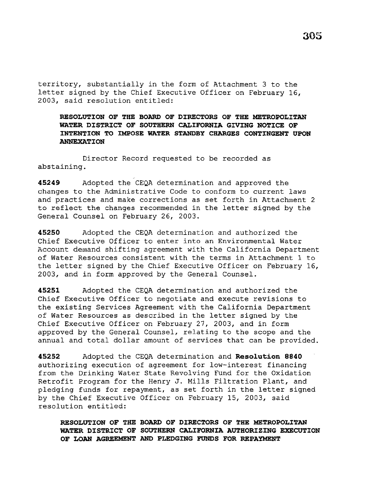territory, substantially in the form of Attachment 3 to the letter signed by the Chief Executive Officer on February 16, 2003, said resolution entitled:

# **RESOLUTION OF THE BOARD OF DIRECTORS OF THE METROPOLITAN WATER DISTRICT OF SOUTHERN CALIFORNIA GIVING NOTICE OF INTENTION TO IMPOSE WATER STANDBY CHARGES CONTINGENT UPON ANNEXATION**

Director Record requested to be recorded as abstaining.

**45249** Adopted the CEQA determination and approved the changes to the Administrative Code to conform to current laws and practices and make corrections as set forth in Attachment 2 to reflect the changes recommended in the letter signed by the General Counsel on February 26, 2003.

**45250** Adopted the CEQA determination and authorized the Chief Executive Officer to enter into an Environmental Water Account demand shifting agreement with the California Department of Water Resources consistent with the terms in Attachment 1 to the letter signed by the Chief Executive Officer on February 16, 2003, and in form approved by the General Counsel.

**45251** Adopted the CEQA determination and authorized the Chief Executive Officer to negotiate and execute revisions to the existing Services Agreement with the California Department of Water Resources as described in the letter signed by the Chief Executive Officer on February 27, 2003, and in form approved by the General Counsel, relating to the scope and the annual and total dollar amount of services that can be provided.

**45252** Adopted the CEQA determination and **Resolution 8840**  authorizing execution of agreement for low-interest financing from the Drinking Water State Revolving Fund for the Oxidation Retrofit Program for the Henry J. Mills Filtration Plant, and pledging funds for repayment, as set forth in the letter signed by the Chief Executive Officer on February 15, 2003, said resolution entitled:

**RESOLUTION OF THE BOARD OF DIRECTORS OF THE METROPOLITAN WATER DISTRICT OF SOUTHERN CALIFORNIA AUTHORIZING EXECUTION OF LOAN AGREEMENT AND PLEDGING FUNDS FOR REPAYMENT**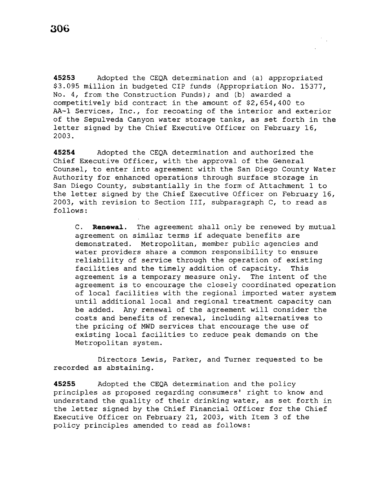**45253** Adopted the CEQA determination and (a) appropriated \$3.095 million in budgeted CIP funds (Appropriation No. 15377, No. 4, from the Construction Funds); and (b) awarded a competitively bid contract in the amount of \$2,654,400 to AA-1 Services, Inc., for recoating of the interior and exterior of the Sepulveda Canyon water storage tanks, as set forth in the letter signed by the Chief Executive Officer on February 16, 2003.

**45254** Adopted the CEQA determination and authorized the Chief Executive Officer, with the approval of the General Counsel, to enter into agreement with the San Diego County Water Authority for enhanced operations through surface storage in San Diego County, substantially in the form of Attachment 1 to the letter signed by the Chief Executive Officer on February 16, 2003, with revision to Section III, subparagraph C, to read as follows:

C. **Renewal.** The agreement shall only be renewed by mutual agreement on similar terms if adequate benefits are demonstrated. Metropolitan, member public agencies and water providers share a common responsibility to ensure reliability of service through the operation of existing facilities and the timely addition of capacity. This agreement is a temporary measure only. The intent of the agreement is to encourage the closely coordinated operation of local facilities with the regional imported water system until additional local and regional treatment capacity can be added. Any renewal of the agreement will consider the costs and benefits of renewal, including alternatives to the pricing of MWD services that encourage the use of existing local facilities to reduce peak demands on the Metropolitan system.

Directors Lewis, Parker, and Turner requested to be recorded as abstaining.

**45255** Adopted the CEQA determination and the policy principles as proposed regarding consumers' right to know and understand the quality of their drinking water, as set forth in the letter signed by the Chief Financial Officer for the Chief Executive Officer on February 21, 2003, with Item 3 of the policy principles amended to read as follows: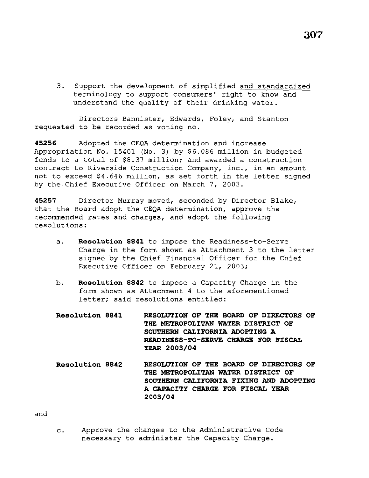3. Support the development of simplified and standardized terminology to support consumers' right to know and understand the quality of their drinking water.

Directors Bannister, Edwards, Foley, and Stanton requested to be recorded as voting no.

**45256** Adopted the CEQA determination and increase Appropriation No. 15401 (No. 3) by \$6.086 million *in* budgeted funds to a total of \$8.37 million; and awarded a construction contract to Riverside Construction Company, Inc., in an amount not to exceed \$4.646 million, as set forth *in* the letter signed by the.Chief Executive Officer on March 7, 2003.

**45257** Director Murray moved, seconded by Director Blake, that the Board adopt the CEQA determination, approve the recommended rates and charges, and adopt the following resolutions:

- a. **Reso1ution 8841** to impose the Readiness-to-Serve Charge in the form shown as Attachment 3 to the letter signed by the Chief Financial Officer for the Chief Executive Officer on February 21, 2003;
- b. **Reso1ution 8842** to impose a Capacity Charge in the form shown as Attachment 4 to the aforementioned letter; said resolutions entitled:
- **Reso1ution 8841 RESOLUTION OF THE BOARD OF DIRECTORS OF THE METROPOLITAN WATER DISTRICT OF SOUTHERN CALIFORNIA ADOPTING A READINESS-TO-SERVE CHARGE FOR FISCAL YEAR 2003/04**
- **Reso1ution 8842 RESOLUTION OF THE BOARD OF DIRECTORS OF THE METROPOLITAN WATER DISTRICT OF SOUTHERN CALIFORNIA FIXING AND ADOPTING A CAPACITY CHARGE FOR FISCAL YEAR 2003/04**

and

c. Approve the changes to the Administrative Code necessary to administer the Capacity Charge.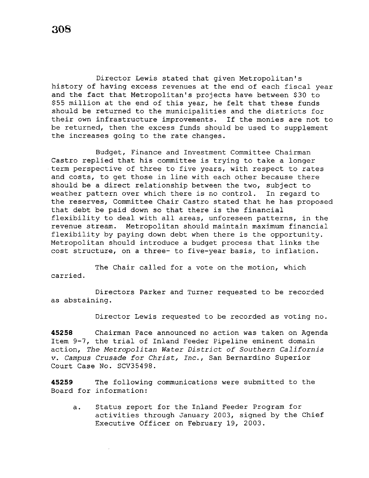Director Lewis stated that given Metropolitan's history of having excess revenues at the end of each fiscal year and the fact that Metropolitan's projects have between \$30 to \$55 million at the end of this year, he felt that these funds should be returned to the municipalities and the districts for their own infrastructure improvements. If the monies are not to be returned, then the excess funds should be used to supplement the increases going to the rate changes.

Budget, Finance and Investment Committee Chairman Castro replied that his committee is trying to take a longer term perspective of three to five years, with respect to rates and costs, to get those in line with each other because there should be a direct relationship between the two, subject to weather pattern over which there is no control. In regard to the reserves, Committee Chair Castro stated that he has proposed that debt be paid down so that there is the financial flexibility to deal with all areas, unforeseen patterns, in the revenue stream. Metropolitan should maintain maximum financial flexibility by paying down debt when there is the opportunity. Metropolitan should introduce a budget process that links the cost structure, on a three- to five-year basis, to inflation.

The Chair called for a vote on the motion, which carried.

Directors Parker and Turner requested to be recorded as abstaining.

Director Lewis requested to be recorded as voting no.

**45258** Chairman Pace announced no action was taken on Agenda Item 9-7, the trial of Inland Feeder Pipeline eminent domain action, *The Metropolitan Water District of Southern California v. Campus Crusade for Christ, Inc.,* San Bernardino Superior Court Case No. SCV35498.

**45259** The following communications were submitted to the Board for information:

a. Status report for the Inland Feeder Program for activities through January 2003, signed by the Chief Executive Officer on February 19, 2003.